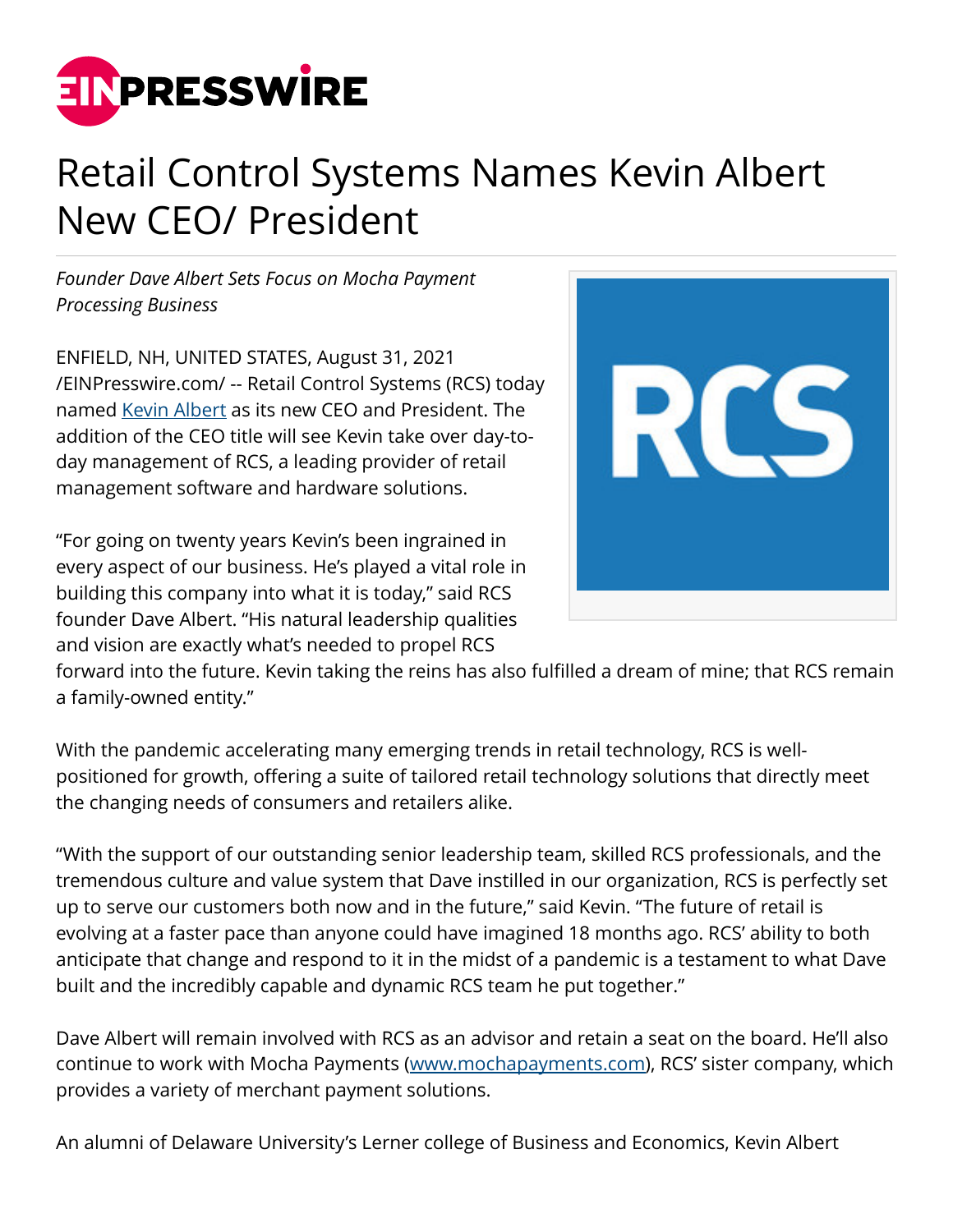

## Retail Control Systems Names Kevin Albert New CEO/ President

*Founder Dave Albert Sets Focus on Mocha Payment Processing Business*

ENFIELD, NH, UNITED STATES, August 31, 2021 [/EINPresswire.com/](http://www.einpresswire.com) -- Retail Control Systems (RCS) today named [Kevin Albert](https://www.linkedin.com/in/kevin-albert-05bb39a/) as its new CEO and President. The addition of the CEO title will see Kevin take over day-today management of RCS, a leading provider of retail management software and hardware solutions.

"For going on twenty years Kevin's been ingrained in every aspect of our business. He's played a vital role in building this company into what it is today," said RCS founder Dave Albert. "His natural leadership qualities and vision are exactly what's needed to propel RCS



forward into the future. Kevin taking the reins has also fulfilled a dream of mine; that RCS remain a family-owned entity."

With the pandemic accelerating many emerging trends in retail technology, RCS is wellpositioned for growth, offering a suite of tailored retail technology solutions that directly meet the changing needs of consumers and retailers alike.

"With the support of our outstanding senior leadership team, skilled RCS professionals, and the tremendous culture and value system that Dave instilled in our organization, RCS is perfectly set up to serve our customers both now and in the future," said Kevin. "The future of retail is evolving at a faster pace than anyone could have imagined 18 months ago. RCS' ability to both anticipate that change and respond to it in the midst of a pandemic is a testament to what Dave built and the incredibly capable and dynamic RCS team he put together."

Dave Albert will remain involved with RCS as an advisor and retain a seat on the board. He'll also continue to work with Mocha Payments [\(www.mochapayments.com\)](http://www.mochapayments.com), RCS' sister company, which provides a variety of merchant payment solutions.

An alumni of Delaware University's Lerner college of Business and Economics, Kevin Albert